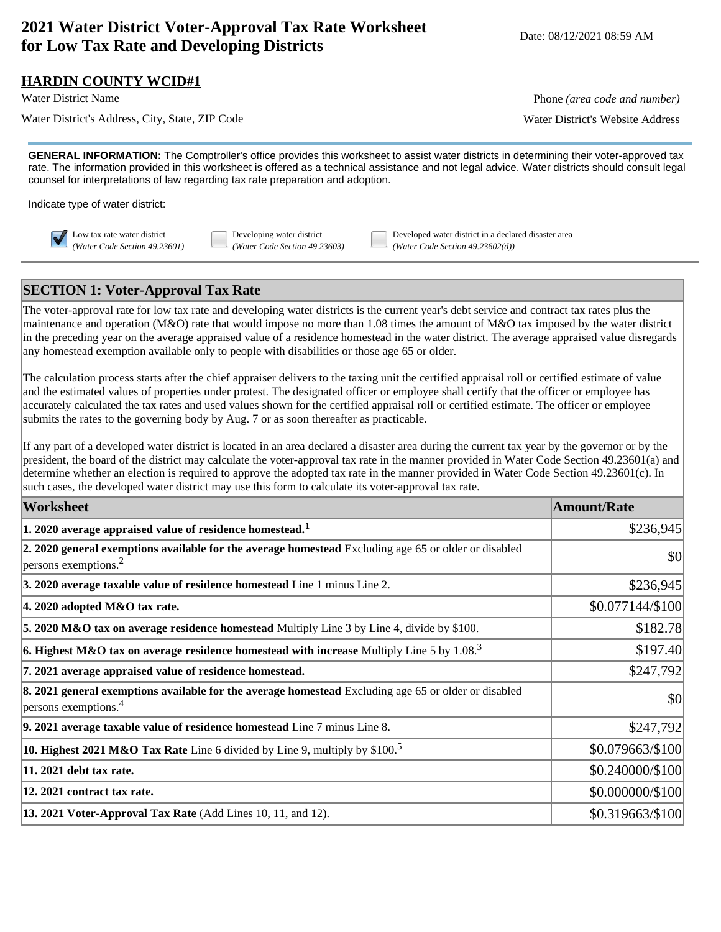# **2021 Water District Voter-Approval Tax Rate Worksheet for Low Tax Rate and Developing Districts** Worksheet Date: 08/12/2021 08:59 AM<br>**for Low Tax Rate and Developing Districts**

#### **HARDIN COUNTY WCID#1**

Water District's Address, City, State, ZIP Code Water District's Website Address

Water District Name **Phone** *(area code and number)* Phone *(area code and number)* 

**GENERAL INFORMATION:** The Comptroller's office provides this worksheet to assist water districts in determining their voter-approved tax rate. The information provided in this worksheet is offered as a technical assistance and not legal advice. Water districts should consult legal counsel for interpretations of law regarding tax rate preparation and adoption.

Indicate type of water district:

Low tax rate water district Developing water district Developed water district in a declared disaster area *(Water Code Section 49.23601) (Water Code Section 49.23603) (Water Code Section 49.23602(d))*

## **SECTION 1: Voter-Approval Tax Rate**

The voter-approval rate for low tax rate and developing water districts is the current year's debt service and contract tax rates plus the maintenance and operation (M&O) rate that would impose no more than 1.08 times the amount of M&O tax imposed by the water district in the preceding year on the average appraised value of a residence homestead in the water district. The average appraised value disregards any homestead exemption available only to people with disabilities or those age 65 or older.

The calculation process starts after the chief appraiser delivers to the taxing unit the certified appraisal roll or certified estimate of value and the estimated values of properties under protest. The designated officer or employee shall certify that the officer or employee has accurately calculated the tax rates and used values shown for the certified appraisal roll or certified estimate. The officer or employee submits the rates to the governing body by Aug. 7 or as soon thereafter as practicable.

If any part of a developed water district is located in an area declared a disaster area during the current tax year by the governor or by the president, the board of the district may calculate the voter-approval tax rate in the manner provided in Water Code Section 49.23601(a) and determine whether an election is required to approve the adopted tax rate in the manner provided in Water Code Section 49.23601(c). In such cases, the developed water district may use this form to calculate its voter-approval tax rate.

| <b>Worksheet</b>                                                                                                                             | <b>Amount/Rate</b> |
|----------------------------------------------------------------------------------------------------------------------------------------------|--------------------|
| $ 1.2020$ average appraised value of residence homestead. <sup>1</sup>                                                                       | \$236,945          |
| 2. 2020 general exemptions available for the average homestead Excluding age 65 or older or disabled<br>$ p$ ersons exemptions. <sup>2</sup> | \$0                |
| 3. 2020 average taxable value of residence homestead Line 1 minus Line 2.                                                                    | \$236,945          |
| $ 4.2020$ adopted M&O tax rate.                                                                                                              | \$0.077144/\$100   |
| 5. 2020 M&O tax on average residence homestead Multiply Line 3 by Line 4, divide by \$100.                                                   | \$182.78           |
| <b>6. Highest M&amp;O tax on average residence homestead with increase</b> Multiply Line 5 by 1.08. <sup>3</sup>                             | \$197.40           |
| 7. 2021 average appraised value of residence homestead.                                                                                      | \$247,792          |
| 8. 2021 general exemptions available for the average homestead Excluding age 65 or older or disabled<br>$ $ persons exemptions. <sup>4</sup> | \$0                |
| $\vert$ 9. 2021 average taxable value of residence homestead Line $7$ minus Line 8.                                                          | \$247,792          |
| <b>10. Highest 2021 M&amp;O Tax Rate</b> Line 6 divided by Line 9, multiply by $$100.5$                                                      | \$0.079663/\$100   |
| 11. 2021 debt tax rate.                                                                                                                      | \$0.240000/\$100   |
| 12. 2021 contract tax rate.                                                                                                                  | \$0.000000/\$100   |
| <b>13. 2021 Voter-Approval Tax Rate</b> (Add Lines 10, 11, and 12).                                                                          | \$0.319663/\$100   |